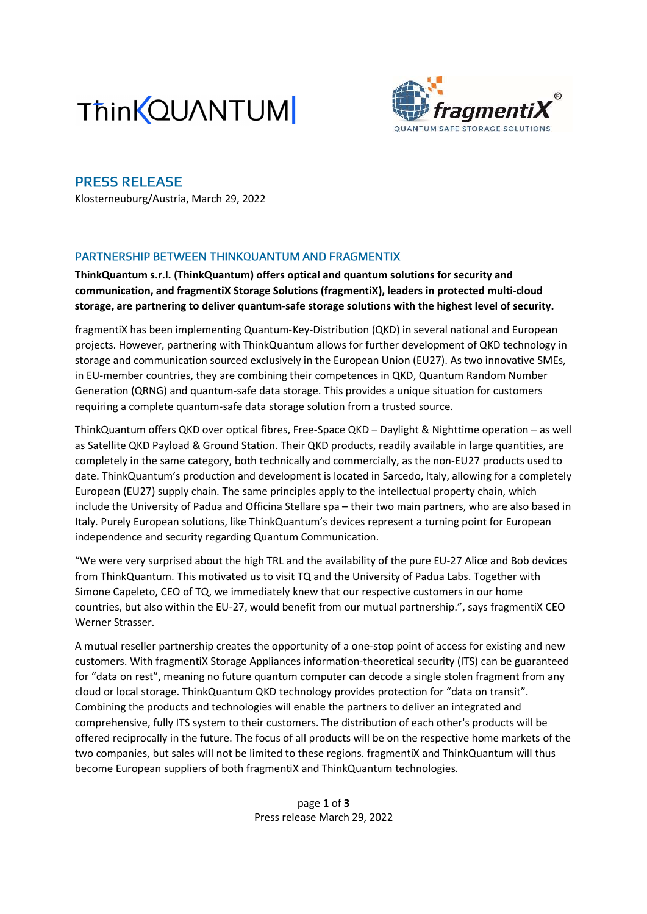



# PRESS RELEASE

Klosterneuburg/Austria, March 29, 2022

## PARTNERSHIP BETWEEN THINKQUANTUM AND FRAGMENTIX

ThinkQuantum s.r.l. (ThinkQuantum) offers optical and quantum solutions for security and communication, and fragmentiX Storage Solutions (fragmentiX), leaders in protected multi-cloud storage, are partnering to deliver quantum-safe storage solutions with the highest level of security.

fragmentiX has been implementing Quantum-Key-Distribution (QKD) in several national and European projects. However, partnering with ThinkQuantum allows for further development of QKD technology in storage and communication sourced exclusively in the European Union (EU27). As two innovative SMEs, in EU-member countries, they are combining their competences in QKD, Quantum Random Number Generation (QRNG) and quantum-safe data storage. This provides a unique situation for customers requiring a complete quantum-safe data storage solution from a trusted source.

ThinkQuantum offers QKD over optical fibres, Free-Space QKD – Daylight & Nighttime operation – as well as Satellite QKD Payload & Ground Station. Their QKD products, readily available in large quantities, are completely in the same category, both technically and commercially, as the non-EU27 products used to date. ThinkQuantum's production and development is located in Sarcedo, Italy, allowing for a completely European (EU27) supply chain. The same principles apply to the intellectual property chain, which include the University of Padua and Officina Stellare spa – their two main partners, who are also based in Italy. Purely European solutions, like ThinkQuantum's devices represent a turning point for European independence and security regarding Quantum Communication.

"We were very surprised about the high TRL and the availability of the pure EU-27 Alice and Bob devices from ThinkQuantum. This motivated us to visit TQ and the University of Padua Labs. Together with Simone Capeleto, CEO of TQ, we immediately knew that our respective customers in our home countries, but also within the EU-27, would benefit from our mutual partnership.", says fragmentiX CEO Werner Strasser.

A mutual reseller partnership creates the opportunity of a one-stop point of access for existing and new customers. With fragmentiX Storage Appliances information-theoretical security (ITS) can be guaranteed for "data on rest", meaning no future quantum computer can decode a single stolen fragment from any cloud or local storage. ThinkQuantum QKD technology provides protection for "data on transit". Combining the products and technologies will enable the partners to deliver an integrated and comprehensive, fully ITS system to their customers. The distribution of each other's products will be offered reciprocally in the future. The focus of all products will be on the respective home markets of the two companies, but sales will not be limited to these regions. fragmentiX and ThinkQuantum will thus become European suppliers of both fragmentiX and ThinkQuantum technologies.

> page 1 of 3 Press release March 29, 2022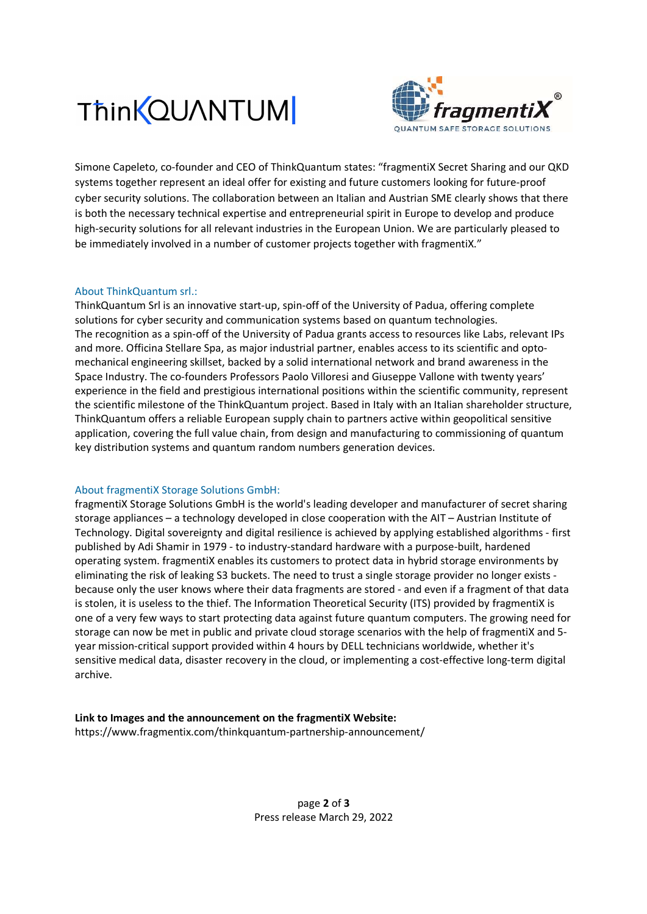



Simone Capeleto, co-founder and CEO of ThinkQuantum states: "fragmentiX Secret Sharing and our QKD systems together represent an ideal offer for existing and future customers looking for future-proof cyber security solutions. The collaboration between an Italian and Austrian SME clearly shows that there is both the necessary technical expertise and entrepreneurial spirit in Europe to develop and produce high-security solutions for all relevant industries in the European Union. We are particularly pleased to be immediately involved in a number of customer projects together with fragmentiX."

### About ThinkQuantum srl.:

ThinkQuantum Srl is an innovative start-up, spin-off of the University of Padua, offering complete solutions for cyber security and communication systems based on quantum technologies. The recognition as a spin-off of the University of Padua grants access to resources like Labs, relevant IPs and more. Officina Stellare Spa, as major industrial partner, enables access to its scientific and optomechanical engineering skillset, backed by a solid international network and brand awareness in the Space Industry. The co-founders Professors Paolo Villoresi and Giuseppe Vallone with twenty years' experience in the field and prestigious international positions within the scientific community, represent the scientific milestone of the ThinkQuantum project. Based in Italy with an Italian shareholder structure, ThinkQuantum offers a reliable European supply chain to partners active within geopolitical sensitive application, covering the full value chain, from design and manufacturing to commissioning of quantum key distribution systems and quantum random numbers generation devices.

#### About fragmentiX Storage Solutions GmbH:

fragmentiX Storage Solutions GmbH is the world's leading developer and manufacturer of secret sharing storage appliances – a technology developed in close cooperation with the AIT – Austrian Institute of Technology. Digital sovereignty and digital resilience is achieved by applying established algorithms - first published by Adi Shamir in 1979 - to industry-standard hardware with a purpose-built, hardened operating system. fragmentiX enables its customers to protect data in hybrid storage environments by eliminating the risk of leaking S3 buckets. The need to trust a single storage provider no longer exists because only the user knows where their data fragments are stored - and even if a fragment of that data is stolen, it is useless to the thief. The Information Theoretical Security (ITS) provided by fragmentiX is one of a very few ways to start protecting data against future quantum computers. The growing need for storage can now be met in public and private cloud storage scenarios with the help of fragmentiX and 5 year mission-critical support provided within 4 hours by DELL technicians worldwide, whether it's sensitive medical data, disaster recovery in the cloud, or implementing a cost-effective long-term digital archive.

Link to Images and the announcement on the fragmentiX Website: https://www.fragmentix.com/thinkquantum-partnership-announcement/

> page 2 of 3 Press release March 29, 2022